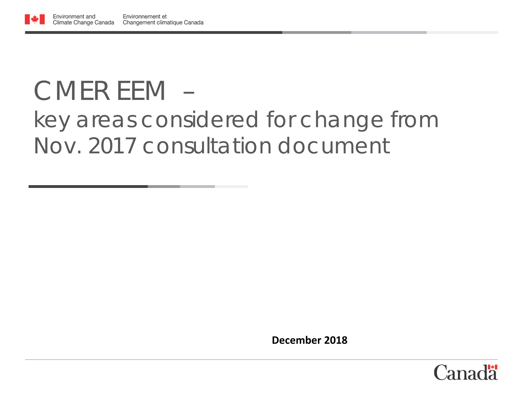### CMER *EEM – key areas considered for change from Nov. 2017 consultation document*

**December 2018**

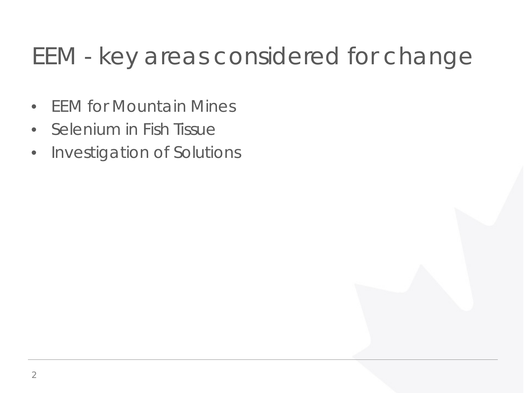#### EEM - key areas considered for change

- EEM for Mountain Mines
- Selenium in Fish Tissue
- Investigation of Solutions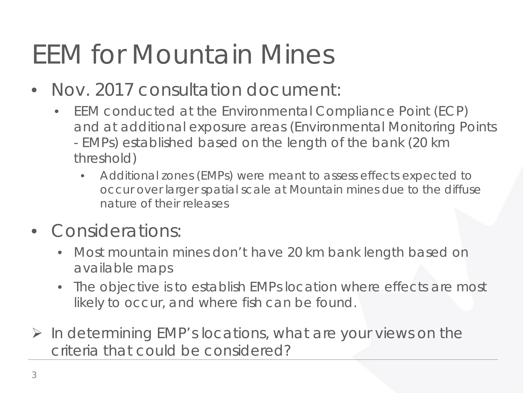# EEM for Mountain Mines

- Nov. 2017 consultation document:
	- EEM conducted at the Environmental Compliance Point (ECP) and at additional exposure areas (Environmental Monitoring Points - EMPs) established based on the length of the bank (20 km threshold)
		- Additional zones (EMPs) were meant to assess effects expected to occur over larger spatial scale at Mountain mines due to the diffuse nature of their releases
- Considerations:
	- Most mountain mines don't have 20 km bank length based on available maps
	- The objective is to establish EMPs location where effects are most likely to occur, and where fish can be found.
- $\triangleright$  In determining EMP's locations, what are your views on the criteria that could be considered?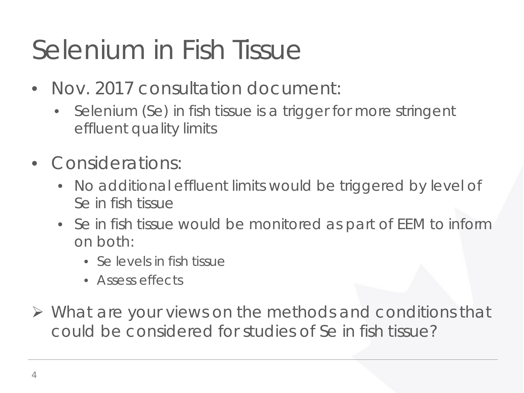# Selenium in Fish Tissue

- Nov. 2017 consultation document:
	- Selenium (Se) in fish tissue is a trigger for more stringent effluent quality limits
- Considerations:
	- No additional effluent limits would be triggered by level of Se in fish tissue
	- Se in fish tissue would be monitored as part of EEM to inform on both:
		- Se levels in fish tissue
		- Assess effects
- $\triangleright$  What are your views on the methods and conditions that could be considered for studies of Se in fish tissue?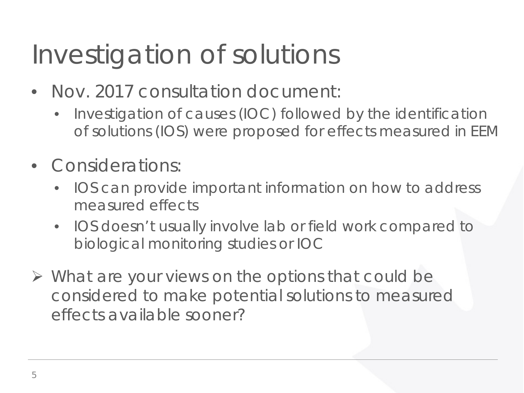# Investigation of solutions

- Nov. 2017 consultation document:
	- Investigation of causes (IOC) followed by the identification of solutions (IOS) were proposed for effects measured in EEM
- Considerations:
	- IOS can provide important information on how to address measured effects
	- IOS doesn't usually involve lab or field work compared to biological monitoring studies or IOC
- $\triangleright$  What are your views on the options that could be considered to make potential solutions to measured effects available sooner?